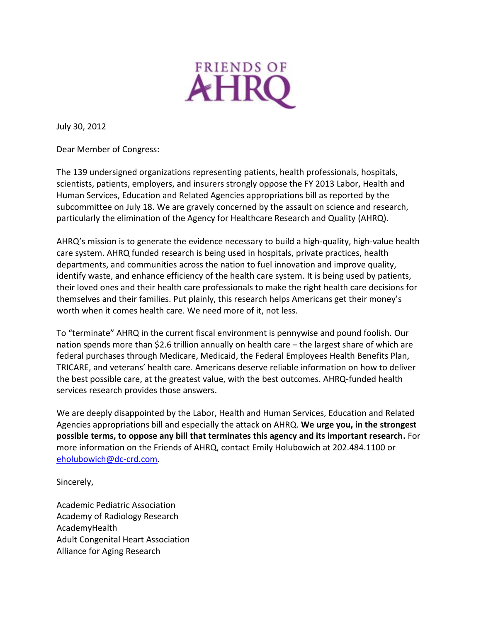

July 30, 2012

Dear Member of Congress:

The 139 undersigned organizations representing patients, health professionals, hospitals, scientists, patients, employers, and insurers strongly oppose the FY 2013 Labor, Health and Human Services, Education and Related Agencies appropriations bill as reported by the subcommittee on July 18. We are gravely concerned by the assault on science and research, particularly the elimination of the Agency for Healthcare Research and Quality (AHRQ).

AHRQ's mission is to generate the evidence necessary to build a high-quality, high-value health care system. AHRQ funded research is being used in hospitals, private practices, health departments, and communities across the nation to fuel innovation and improve quality, identify waste, and enhance efficiency of the health care system. It is being used by patients, their loved ones and their health care professionals to make the right health care decisions for themselves and their families. Put plainly, this research helps Americans get their money's worth when it comes health care. We need more of it, not less.

To "terminate" AHRQ in the current fiscal environment is pennywise and pound foolish. Our nation spends more than \$2.6 trillion annually on health care – the largest share of which are federal purchases through Medicare, Medicaid, the Federal Employees Health Benefits Plan, TRICARE, and veterans' health care. Americans deserve reliable information on how to deliver the best possible care, at the greatest value, with the best outcomes. AHRQ-funded health services research provides those answers.

We are deeply disappointed by the Labor, Health and Human Services, Education and Related Agencies appropriations bill and especially the attack on AHRQ. **We urge you, in the strongest possible terms, to oppose any bill that terminates this agency and its important research.** For more information on the Friends of AHRQ, contact Emily Holubowich at 202.484.1100 or [eholubowich@dc-crd.com.](mailto:eholubowich@dc-crd.com)

Sincerely,

Academic Pediatric Association Academy of Radiology Research AcademyHealth Adult Congenital Heart Association Alliance for Aging Research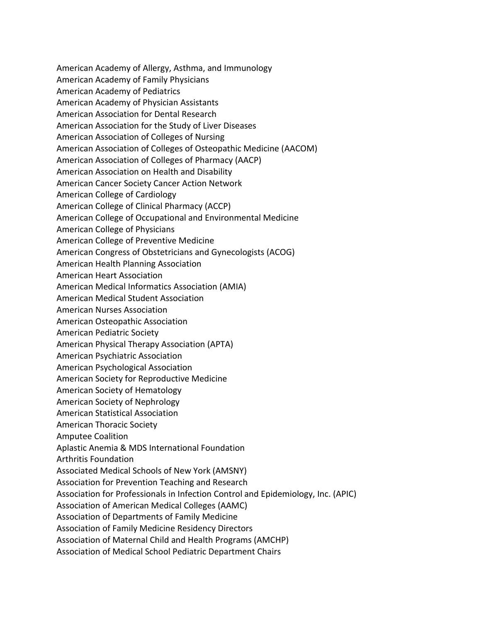American Academy of Allergy, Asthma, and Immunology American Academy of Family Physicians American Academy of Pediatrics American Academy of Physician Assistants American Association for Dental Research American Association for the Study of Liver Diseases American Association of Colleges of Nursing American Association of Colleges of Osteopathic Medicine (AACOM) American Association of Colleges of Pharmacy (AACP) American Association on Health and Disability American Cancer Society Cancer Action Network American College of Cardiology American College of Clinical Pharmacy (ACCP) American College of Occupational and Environmental Medicine American College of Physicians American College of Preventive Medicine American Congress of Obstetricians and Gynecologists (ACOG) American Health Planning Association American Heart Association American Medical Informatics Association (AMIA) American Medical Student Association American Nurses Association American Osteopathic Association American Pediatric Society American Physical Therapy Association (APTA) American Psychiatric Association American Psychological Association American Society for Reproductive Medicine American Society of Hematology American Society of Nephrology American Statistical Association American Thoracic Society Amputee Coalition Aplastic Anemia & MDS International Foundation Arthritis Foundation Associated Medical Schools of New York (AMSNY) Association for Prevention Teaching and Research Association for Professionals in Infection Control and Epidemiology, Inc. (APIC) Association of American Medical Colleges (AAMC) Association of Departments of Family Medicine Association of Family Medicine Residency Directors Association of Maternal Child and Health Programs (AMCHP) Association of Medical School Pediatric Department Chairs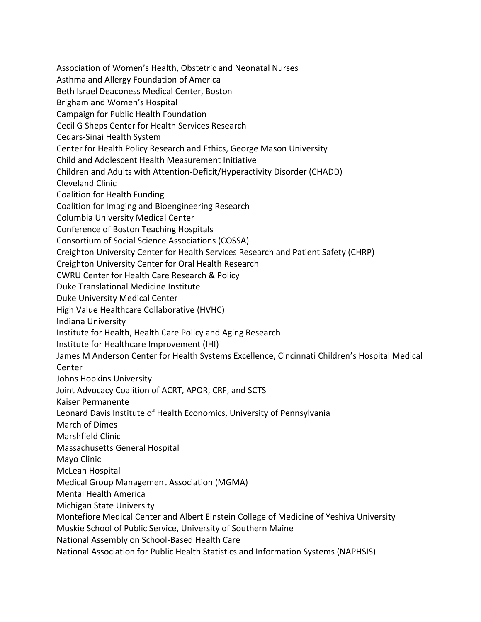Association of Women's Health, Obstetric and Neonatal Nurses Asthma and Allergy Foundation of America Beth Israel Deaconess Medical Center, Boston Brigham and Women's Hospital Campaign for Public Health Foundation Cecil G Sheps Center for Health Services Research Cedars-Sinai Health System Center for Health Policy Research and Ethics, George Mason University Child and Adolescent Health Measurement Initiative Children and Adults with Attention-Deficit/Hyperactivity Disorder (CHADD) Cleveland Clinic Coalition for Health Funding Coalition for Imaging and Bioengineering Research Columbia University Medical Center Conference of Boston Teaching Hospitals Consortium of Social Science Associations (COSSA) Creighton University Center for Health Services Research and Patient Safety (CHRP) Creighton University Center for Oral Health Research CWRU Center for Health Care Research & Policy Duke Translational Medicine Institute Duke University Medical Center High Value Healthcare Collaborative (HVHC) Indiana University Institute for Health, Health Care Policy and Aging Research Institute for Healthcare Improvement (IHI) James M Anderson Center for Health Systems Excellence, Cincinnati Children's Hospital Medical Center Johns Hopkins University Joint Advocacy Coalition of ACRT, APOR, CRF, and SCTS Kaiser Permanente Leonard Davis Institute of Health Economics, University of Pennsylvania March of Dimes Marshfield Clinic Massachusetts General Hospital Mayo Clinic McLean Hospital Medical Group Management Association (MGMA) Mental Health America Michigan State University Montefiore Medical Center and Albert Einstein College of Medicine of Yeshiva University Muskie School of Public Service, University of Southern Maine National Assembly on School-Based Health Care

National Association for Public Health Statistics and Information Systems (NAPHSIS)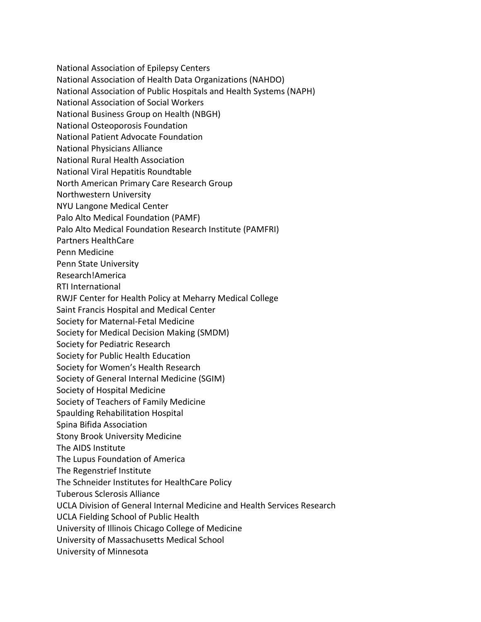National Association of Epilepsy Centers

National Association of Health Data Organizations (NAHDO)

National Association of Public Hospitals and Health Systems (NAPH)

National Association of Social Workers

National Business Group on Health (NBGH)

National Osteoporosis Foundation

National Patient Advocate Foundation

National Physicians Alliance

National Rural Health Association

National Viral Hepatitis Roundtable

North American Primary Care Research Group

Northwestern University

NYU Langone Medical Center

Palo Alto Medical Foundation (PAMF)

Palo Alto Medical Foundation Research Institute (PAMFRI)

Partners HealthCare

Penn Medicine

Penn State University

Research!America

RTI International

RWJF Center for Health Policy at Meharry Medical College

Saint Francis Hospital and Medical Center

Society for Maternal-Fetal Medicine

Society for Medical Decision Making (SMDM)

Society for Pediatric Research

Society for Public Health Education

Society for Women's Health Research

Society of General Internal Medicine (SGIM)

Society of Hospital Medicine

Society of Teachers of Family Medicine

Spaulding Rehabilitation Hospital

Spina Bifida Association

Stony Brook University Medicine

The AIDS Institute

The Lupus Foundation of America

The Regenstrief Institute

The Schneider Institutes for HealthCare Policy

Tuberous Sclerosis Alliance

UCLA Division of General Internal Medicine and Health Services Research

UCLA Fielding School of Public Health

University of Illinois Chicago College of Medicine

University of Massachusetts Medical School

University of Minnesota